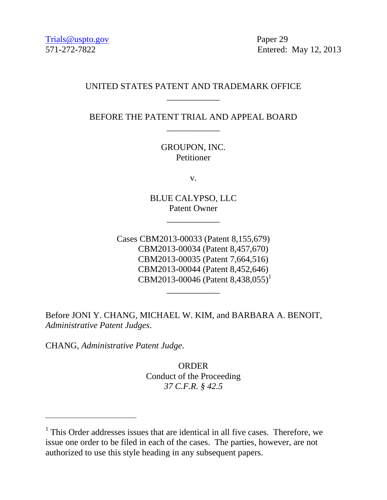571-272-7822 Entered: May 12, 2013

## UNITED STATES PATENT AND TRADEMARK OFFICE \_\_\_\_\_\_\_\_\_\_\_\_

BEFORE THE PATENT TRIAL AND APPEAL BOARD \_\_\_\_\_\_\_\_\_\_\_\_

> GROUPON, INC. Petitioner

> > v.

BLUE CALYPSO, LLC Patent Owner

\_\_\_\_\_\_\_\_\_\_\_\_

Cases CBM2013-00033 (Patent 8,155,679) CBM2013-00034 (Patent 8,457,670) CBM2013-00035 (Patent 7,664,516) CBM2013-00044 (Patent 8,452,646) CBM2013-00046 (Patent 8,438,055) 1

\_\_\_\_\_\_\_\_\_\_\_\_

Before JONI Y. CHANG, MICHAEL W. KIM, and BARBARA A. BENOIT, *Administrative Patent Judges*.

CHANG, *Administrative Patent Judge*.

 $\overline{a}$ 

ORDER Conduct of the Proceeding *37 C.F.R. § 42.5*

<sup>&</sup>lt;sup>1</sup> This Order addresses issues that are identical in all five cases. Therefore, we issue one order to be filed in each of the cases. The parties, however, are not authorized to use this style heading in any subsequent papers.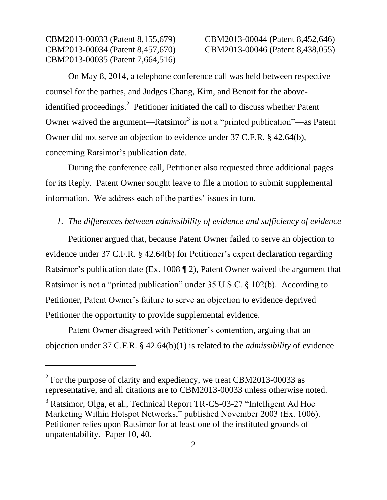$\overline{a}$ 

CBM2013-00033 (Patent 8,155,679) CBM2013-00044 (Patent 8,452,646)

On May 8, 2014, a telephone conference call was held between respective counsel for the parties, and Judges Chang, Kim, and Benoit for the aboveidentified proceedings.<sup>2</sup> Petitioner initiated the call to discuss whether Patent Owner waived the argument—Ratsimor<sup>3</sup> is not a "printed publication"—as Patent Owner did not serve an objection to evidence under 37 C.F.R. § 42.64(b), concerning Ratsimor's publication date.

During the conference call, Petitioner also requested three additional pages for its Reply. Patent Owner sought leave to file a motion to submit supplemental information. We address each of the parties' issues in turn.

### *1. The differences between admissibility of evidence and sufficiency of evidence*

Petitioner argued that, because Patent Owner failed to serve an objection to evidence under 37 C.F.R. § 42.64(b) for Petitioner's expert declaration regarding Ratsimor's publication date (Ex. 1008 ¶ 2), Patent Owner waived the argument that Ratsimor is not a "printed publication" under 35 U.S.C. § 102(b). According to Petitioner, Patent Owner's failure to serve an objection to evidence deprived Petitioner the opportunity to provide supplemental evidence.

Patent Owner disagreed with Petitioner's contention, arguing that an objection under 37 C.F.R. § 42.64(b)(1) is related to the *admissibility* of evidence

 $2^2$  For the purpose of clarity and expediency, we treat CBM2013-00033 as representative, and all citations are to CBM2013-00033 unless otherwise noted.

<sup>&</sup>lt;sup>3</sup> Ratsimor, Olga, et al., Technical Report TR-CS-03-27 "Intelligent Ad Hoc Marketing Within Hotspot Networks," published November 2003 (Ex. 1006). Petitioner relies upon Ratsimor for at least one of the instituted grounds of unpatentability. Paper 10, 40.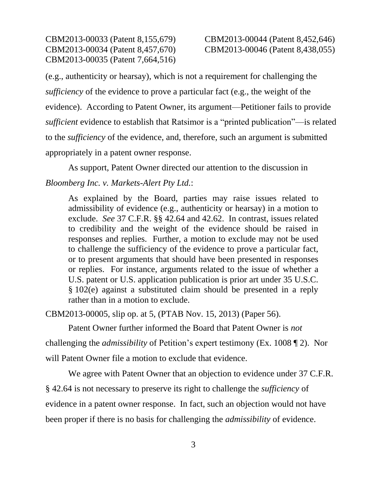CBM2013-00033 (Patent 8,155,679) CBM2013-00044 (Patent 8,452,646)

(e.g., authenticity or hearsay), which is not a requirement for challenging the *sufficiency* of the evidence to prove a particular fact (e.g., the weight of the evidence). According to Patent Owner, its argument—Petitioner fails to provide *sufficient* evidence to establish that Ratsimor is a "printed publication"—is related to the *sufficiency* of the evidence, and, therefore, such an argument is submitted appropriately in a patent owner response.

As support, Patent Owner directed our attention to the discussion in

#### *Bloomberg Inc. v. Markets-Alert Pty Ltd.*:

As explained by the Board, parties may raise issues related to admissibility of evidence (e.g., authenticity or hearsay) in a motion to exclude. *See* 37 C.F.R. §§ 42.64 and 42.62. In contrast, issues related to credibility and the weight of the evidence should be raised in responses and replies. Further, a motion to exclude may not be used to challenge the sufficiency of the evidence to prove a particular fact, or to present arguments that should have been presented in responses or replies. For instance, arguments related to the issue of whether a U.S. patent or U.S. application publication is prior art under 35 U.S.C. § 102(e) against a substituted claim should be presented in a reply rather than in a motion to exclude.

CBM2013-00005, slip op. at 5, (PTAB Nov. 15, 2013) (Paper 56).

Patent Owner further informed the Board that Patent Owner is *not*

challenging the *admissibility* of Petition's expert testimony (Ex. 1008 ¶ 2). Nor

will Patent Owner file a motion to exclude that evidence.

We agree with Patent Owner that an objection to evidence under 37 C.F.R. § 42.64 is not necessary to preserve its right to challenge the *sufficiency* of evidence in a patent owner response. In fact, such an objection would not have been proper if there is no basis for challenging the *admissibility* of evidence.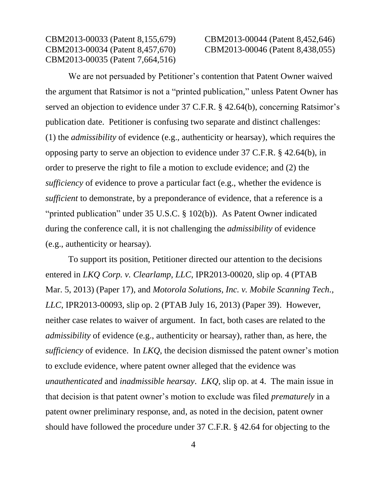# CBM2013-00033 (Patent 8,155,679) CBM2013-00044 (Patent 8,452,646)

We are not persuaded by Petitioner's contention that Patent Owner waived the argument that Ratsimor is not a "printed publication," unless Patent Owner has served an objection to evidence under 37 C.F.R. § 42.64(b), concerning Ratsimor's publication date. Petitioner is confusing two separate and distinct challenges: (1) the *admissibility* of evidence (e.g., authenticity or hearsay), which requires the opposing party to serve an objection to evidence under 37 C.F.R. § 42.64(b), in order to preserve the right to file a motion to exclude evidence; and (2) the *sufficiency* of evidence to prove a particular fact (e.g., whether the evidence is *sufficient* to demonstrate, by a preponderance of evidence, that a reference is a "printed publication" under 35 U.S.C. § 102(b)). As Patent Owner indicated during the conference call, it is not challenging the *admissibility* of evidence (e.g., authenticity or hearsay).

To support its position, Petitioner directed our attention to the decisions entered in *LKQ Corp. v. Clearlamp, LLC*, IPR2013-00020, slip op. 4 (PTAB Mar. 5, 2013) (Paper 17), and *Motorola Solutions, Inc. v. Mobile Scanning Tech., LLC*, IPR2013-00093, slip op. 2 (PTAB July 16, 2013) (Paper 39). However, neither case relates to waiver of argument. In fact, both cases are related to the *admissibility* of evidence (e.g., authenticity or hearsay), rather than, as here, the *sufficiency* of evidence. In *LKQ*, the decision dismissed the patent owner's motion to exclude evidence, where patent owner alleged that the evidence was *unauthenticated* and *inadmissible hearsay*. *LKQ*, slip op. at 4. The main issue in that decision is that patent owner's motion to exclude was filed *prematurely* in a patent owner preliminary response, and, as noted in the decision, patent owner should have followed the procedure under 37 C.F.R. § 42.64 for objecting to the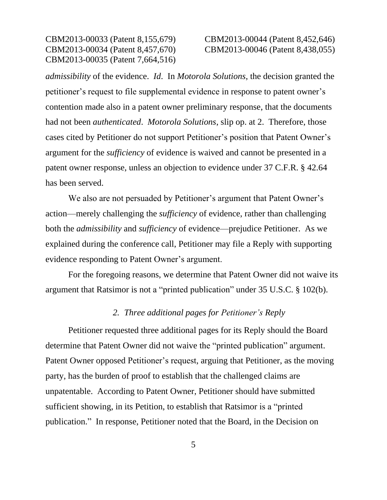CBM2013-00033 (Patent 8,155,679) CBM2013-00044 (Patent 8,452,646)

*admissibility* of the evidence. *Id*. In *Motorola Solutions*, the decision granted the petitioner's request to file supplemental evidence in response to patent owner's contention made also in a patent owner preliminary response, that the documents had not been *authenticated*. *Motorola Solutions*, slip op. at 2. Therefore, those cases cited by Petitioner do not support Petitioner's position that Patent Owner's argument for the *sufficiency* of evidence is waived and cannot be presented in a patent owner response, unless an objection to evidence under 37 C.F.R. § 42.64 has been served.

We also are not persuaded by Petitioner's argument that Patent Owner's action—merely challenging the *sufficiency* of evidence, rather than challenging both the *admissibility* and *sufficiency* of evidence—prejudice Petitioner. As we explained during the conference call, Petitioner may file a Reply with supporting evidence responding to Patent Owner's argument.

For the foregoing reasons, we determine that Patent Owner did not waive its argument that Ratsimor is not a "printed publication" under 35 U.S.C. § 102(b).

#### *2. Three additional pages for Petitioner's Reply*

Petitioner requested three additional pages for its Reply should the Board determine that Patent Owner did not waive the "printed publication" argument. Patent Owner opposed Petitioner's request, arguing that Petitioner, as the moving party, has the burden of proof to establish that the challenged claims are unpatentable. According to Patent Owner, Petitioner should have submitted sufficient showing, in its Petition, to establish that Ratsimor is a "printed publication." In response, Petitioner noted that the Board, in the Decision on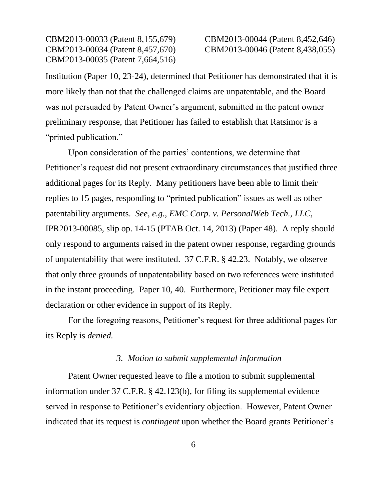# CBM2013-00033 (Patent 8,155,679) CBM2013-00044 (Patent 8,452,646)

Institution (Paper 10, 23-24), determined that Petitioner has demonstrated that it is more likely than not that the challenged claims are unpatentable, and the Board was not persuaded by Patent Owner's argument, submitted in the patent owner preliminary response, that Petitioner has failed to establish that Ratsimor is a "printed publication."

Upon consideration of the parties' contentions, we determine that Petitioner's request did not present extraordinary circumstances that justified three additional pages for its Reply. Many petitioners have been able to limit their replies to 15 pages, responding to "printed publication" issues as well as other patentability arguments. *See, e.g.*, *EMC Corp. v. PersonalWeb Tech., LLC*, IPR2013-00085, slip op. 14-15 (PTAB Oct. 14, 2013) (Paper 48). A reply should only respond to arguments raised in the patent owner response, regarding grounds of unpatentability that were instituted. 37 C.F.R. § 42.23. Notably, we observe that only three grounds of unpatentability based on two references were instituted in the instant proceeding. Paper 10, 40. Furthermore, Petitioner may file expert declaration or other evidence in support of its Reply.

For the foregoing reasons, Petitioner's request for three additional pages for its Reply is *denied.*

### *3. Motion to submit supplemental information*

Patent Owner requested leave to file a motion to submit supplemental information under 37 C.F.R. § 42.123(b), for filing its supplemental evidence served in response to Petitioner's evidentiary objection. However, Patent Owner indicated that its request is *contingent* upon whether the Board grants Petitioner's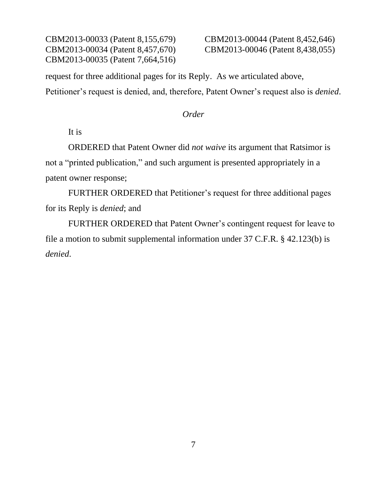CBM2013-00033 (Patent 8,155,679) CBM2013-00044 (Patent 8,452,646) CBM2013-00034 (Patent 8,457,670) CBM2013-00046 (Patent 8,438,055) CBM2013-00035 (Patent 7,664,516)

request for three additional pages for its Reply. As we articulated above, Petitioner's request is denied, and, therefore, Patent Owner's request also is *denied*.

#### *Order*

It is

ORDERED that Patent Owner did *not waive* its argument that Ratsimor is not a "printed publication," and such argument is presented appropriately in a patent owner response;

FURTHER ORDERED that Petitioner's request for three additional pages for its Reply is *denied*; and

FURTHER ORDERED that Patent Owner's contingent request for leave to file a motion to submit supplemental information under 37 C.F.R. § 42.123(b) is *denied*.